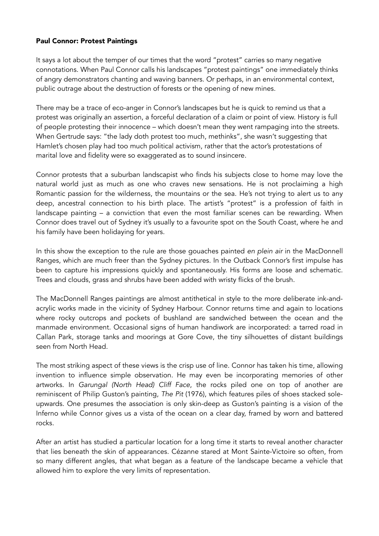## Paul Connor: Protest Paintings

It says a lot about the temper of our times that the word "protest" carries so many negative connotations. When Paul Connor calls his landscapes "protest paintings" one immediately thinks of angry demonstrators chanting and waving banners. Or perhaps, in an environmental context, public outrage about the destruction of forests or the opening of new mines.

There may be a trace of eco-anger in Connor's landscapes but he is quick to remind us that a protest was originally an assertion, a forceful declaration of a claim or point of view. History is full of people protesting their innocence – which doesn't mean they went rampaging into the streets. When Gertrude says: "the lady doth protest too much, methinks", she wasn't suggesting that Hamlet's chosen play had too much political activism, rather that the actor's protestations of marital love and fidelity were so exaggerated as to sound insincere.

Connor protests that a suburban landscapist who finds his subjects close to home may love the natural world just as much as one who craves new sensations. He is not proclaiming a high Romantic passion for the wilderness, the mountains or the sea. He's not trying to alert us to any deep, ancestral connection to his birth place. The artist's "protest" is a profession of faith in landscape painting – a conviction that even the most familiar scenes can be rewarding. When Connor does travel out of Sydney it's usually to a favourite spot on the South Coast, where he and his family have been holidaying for years.

In this show the exception to the rule are those gouaches painted *en plein air* in the MacDonnell Ranges, which are much freer than the Sydney pictures. In the Outback Connor's first impulse has been to capture his impressions quickly and spontaneously. His forms are loose and schematic. Trees and clouds, grass and shrubs have been added with wristy flicks of the brush.

The MacDonnell Ranges paintings are almost antithetical in style to the more deliberate ink-andacrylic works made in the vicinity of Sydney Harbour. Connor returns time and again to locations where rocky outcrops and pockets of bushland are sandwiched between the ocean and the manmade environment. Occasional signs of human handiwork are incorporated: a tarred road in Callan Park, storage tanks and moorings at Gore Cove, the tiny silhouettes of distant buildings seen from North Head.

The most striking aspect of these views is the crisp use of line. Connor has taken his time, allowing invention to influence simple observation. He may even be incorporating memories of other artworks. In *Garungal (North Head) Cliff Face*, the rocks piled one on top of another are reminiscent of Philip Guston's painting, *The Pit* (1976), which features piles of shoes stacked soleupwards. One presumes the association is only skin-deep as Guston's painting is a vision of the Inferno while Connor gives us a vista of the ocean on a clear day, framed by worn and battered rocks.

After an artist has studied a particular location for a long time it starts to reveal another character that lies beneath the skin of appearances. Cézanne stared at Mont Sainte-Victoire so often, from so many different angles, that what began as a feature of the landscape became a vehicle that allowed him to explore the very limits of representation.